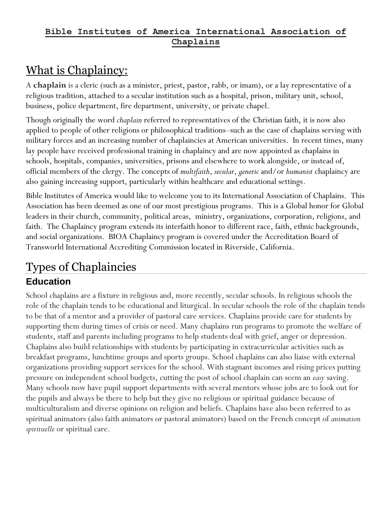# What is Chaplaincy:

A **chaplain** is a [cleric](https://en.wikipedia.org/wiki/Cleric) (such as a [minister,](https://en.wikipedia.org/wiki/Minister_(Christianity)) [priest,](https://en.wikipedia.org/wiki/Priest) [pastor,](https://en.wikipedia.org/wiki/Pastor) [rabb,](https://en.wikipedia.org/wiki/Rabbi) or [imam\)](https://en.wikipedia.org/wiki/Imam), or a [lay](https://en.wikipedia.org/wiki/Laity) representative of a religious tradition, attached to a [secular institution](https://en.wikipedia.org/wiki/Secularity) such as a [hospital,](https://en.wikipedia.org/wiki/Hospital) [prison,](https://en.wikipedia.org/wiki/Prison) military unit, school, business, police department, fire department, [university,](https://en.wikipedia.org/wiki/University) or private [chapel.](https://en.wikipedia.org/wiki/Chapel)

Though originally the word *chaplain* referred to representatives of the Christian faith, it is now also applied to people of other religions or philosophical traditions–such as the case of chaplains serving with military forces and an increasing number of chaplaincies at American universities. In recent times, many lay people have received professional training in chaplaincy and are now appointed as chaplains in schools, hospitals, companies, universities, prisons and elsewhere to work alongside, or instead of, official members of the clergy. The concepts of *multifaith*, *secular*, *generic* and/or *humanist* chaplaincy are also gaining increasing support, particularly within healthcare and educational settings.

Bible Institutes of America would like to welcome you to its International Association of Chaplains. This Association has been deemed as one of our most prestigious programs. This is a Global honor for Global leaders in their church, community, political areas, ministry, organizations, corporation, religions, and faith. The Chaplaincy program extends its interfaith honor to different race, faith, ethnic backgrounds, and social organizations. BIOA Chaplaincy program is covered under the Accreditation Board of Transworld International Accrediting Commission located in Riverside, California.

# Types of Chaplaincies

#### **Education** School chaplains are a fixture in religious and, more recently, secular schools. In religious schools the role of the chaplain tends to be educational and liturgical. In secular schools the role of the chaplain tends to be that of a mentor and a provider of pastoral care services. Chaplains provide care for students by supporting them during times of crisis or need. Many chaplains run programs to promote the welfare of students, staff and parents including programs to help students deal with grief, anger or depression. Chaplains also build relationships with students by participating in extracurricular activities such as breakfast programs, lunchtime groups and sports groups. School chaplains can also liaise with external organizations providing support services for the school. With stagnant incomes and rising prices putting pressure on independent school budgets, cutting the post of school chaplain can seem an *easy* saving. Many schools now have pupil support departments with several mentors whose jobs are to look out for the pupils and always be there to help but they give no religious or spiritual guidance because of multiculturalism and diverse opinions on religion and beliefs. Chaplains have also been referred to as spiritual animators (also faith animators or pastoral animators) based on the French concept of *animation spirituelle* or spiritual care.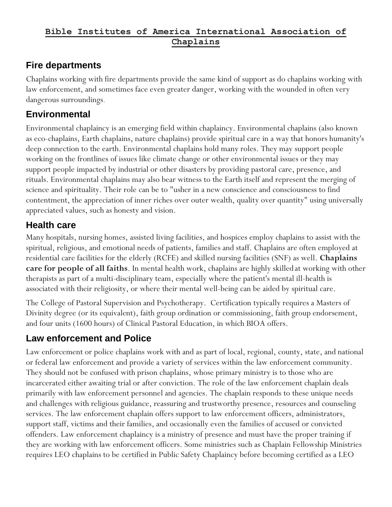#### **Fire departments**

Chaplains working with fire departments provide the same kind of support as do chaplains working with law enforcement, and sometimes face even greater danger, working with the wounded in often very dangerous surroundings.

#### **Environmental**

Environmental chaplaincy is an emerging field within chaplaincy. Environmental chaplains (also known as eco-chaplains, Earth chaplains, nature chaplains) provide spiritual care in a way that honors humanity's deep connection to the earth. Environmental chaplains hold many roles. They may support people working on the frontlines of issues like climate change or other environmental issues or they may support people impacted by industrial or other disasters by providing pastoral care, presence, and rituals. Environmental chaplains may also bear witness to the Earth itself and represent the merging of science and spirituality. Their role can be to "usher in a new conscience and consciousness to find contentment, the appreciation of inner riches over outer wealth, quality over quantity" using universally appreciated values, such as honesty and vision.

## **Health care**

Many hospitals, nursing homes, assisted living facilities, and hospices employ chaplains to assist with the spiritual, religious, and emotional needs of patients, families and staff. Chaplains are often employed at residential care facilities for the elderly (RCFE) and skilled nursing facilities (SNF) as well. **Chaplains care for people of all faiths**. In mental health work, chaplains are highly skilled at working with other therapists as part of a multi-disciplinary team, especially where the patient's mental ill-health is associated with their religiosity, or where their mental well-being can be aided by spiritual care.

The College of Pastoral Supervision and Psychotherapy. Certification typically requires a Masters of Divinity degree (or its equivalent), faith group ordination or commissioning, faith group endorsement, and four units (1600 hours) of Clinical Pastoral Education, in which BIOA offers.

## **Law enforcement and Police**

Law enforcement or police chaplains work with and as part of local, regional, county, state, and national or federal law enforcement and provide a variety of services within the law enforcement community. They should not be confused with prison chaplains, whose primary ministry is to those who are incarcerated either awaiting trial or after conviction. The role of the law enforcement chaplain deals primarily with law enforcement personnel and agencies. The chaplain responds to these unique needs and challenges with religious guidance, reassuring and trustworthy presence, resources and counseling services. The law enforcement chaplain offers support to law enforcement officers, administrators, support staff, victims and their families, and occasionally even the families of accused or convicted offenders. Law enforcement chaplaincy is a ministry of presence and must have the proper training if they are working with law enforcement officers. Some ministries such as Chaplain Fellowship Ministries requires LEO chaplains to be certified in Public Safety Chaplaincy before becoming certified as a LEO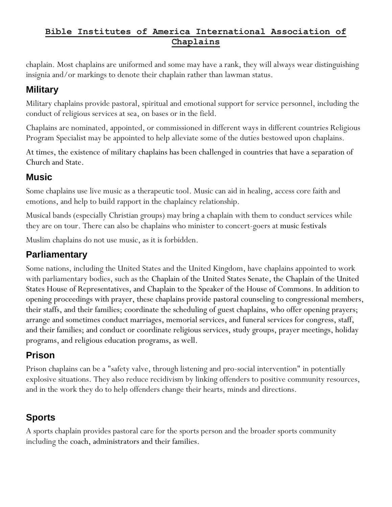chaplain. Most chaplains are uniformed and some may have a rank, they will always wear distinguishing insignia and/or markings to denote their chaplain rather than lawman status.

#### **Military**

Military chaplains provide pastoral, spiritual and emotional support for service personnel, including the conduct of religious services at sea, on bases or in the field.

Chaplains are nominated, appointed, or commissioned in different ways in different countries Religious Program Specialist may be appointed to help alleviate some of the duties bestowed upon chaplains.

At times, the existence of military chaplains has been challenged in countries that have a separation of Church and State.

#### **Music**

Some chaplains use live music as a therapeutic tool. Music can aid in healing, access core faith and emotions, and help to build rapport in the chaplaincy relationship.

Musical bands (especially Christian groups) may bring a chaplain with them to conduct services while they are on tour. There can also be chaplains who minister to concert-goers at [music festivals](https://en.wikipedia.org/wiki/Music_festival)

Muslim chaplains do not use music, as it is forbidden.

#### **Parliamentary**

Some nations, including the United States and the United Kingdom, have chaplains appointed to work with parliamentary bodies, such as the [Chaplain of the United States Senate,](https://en.wikipedia.org/wiki/Chaplain_of_the_United_States_Senate) the [Chaplain of the United](https://en.wikipedia.org/wiki/Chaplain_of_the_United_States_House_of_Representatives)  [States House of Representatives,](https://en.wikipedia.org/wiki/Chaplain_of_the_United_States_House_of_Representatives) and Chaplain to the Speaker of the House of Commons. In addition to opening proceedings with prayer, these chaplains provide pastoral counseling to congressional members, their staffs, and their families; coordinate the scheduling of guest chaplains, who offer opening prayers; arrange and sometimes conduct marriages, memorial services, and funeral services for congress, staff, and their families; and conduct or coordinate religious services, study groups, prayer meetings, holiday programs, and religious education programs, as well.

## **Prison**

Prison chaplains can be a "safety valve, through listening and pro-social intervention" in potentially explosive situations. They also reduce recidivism by linking offenders to positive community resources, and in the work they do to help offenders change their hearts, minds and directions.

#### **Sports**

A sports chaplain provides pastoral care for the sports person and the broader sports community including the [coach,](https://en.wikipedia.org/wiki/Coach_(sport)) [administrators](https://en.wikipedia.org/wiki/Academic_administration) and their families.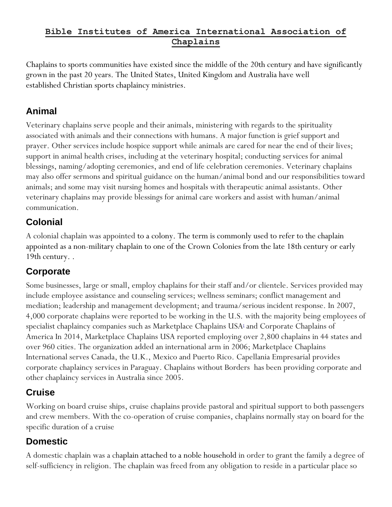Chaplains to sports communities have existed since the middle of the 20th century and have significantly grown in the past 20 years. The [United States,](https://en.wikipedia.org/wiki/United_States) [United Kingdom](https://en.wikipedia.org/wiki/United_Kingdom) and [Australia](https://en.wikipedia.org/wiki/Australia) have well established [Christian](https://en.wikipedia.org/wiki/Christian) sports chaplaincy [ministries.](https://en.wikipedia.org/wiki/Christian_ministry)

### **Animal**

Veterinary chaplains serve people and their animals, ministering with regards to the spirituality associated with animals and their connections with humans. A major function is grief support and prayer. Other services include hospice support while animals are cared for near the end of their lives; support in animal health crises, including at the veterinary hospital; conducting services for animal blessings, naming/adopting ceremonies, and end of life celebration ceremonies. Veterinary chaplains may also offer sermons and spiritual guidance on the human/animal bond and our responsibilities toward animals; and some may visit nursing homes and hospitals with therapeutic animal assistants. Other veterinary chaplains may provide blessings for animal care workers and assist with human/animal communication.

## **Colonial**

A colonial chaplain was appointed to a [colony.](https://en.wikipedia.org/wiki/Colony) The term is commonly used to refer to the chaplain appointed as a non[-military chaplain](https://en.wikipedia.org/wiki/Military_chaplain) to one of the [Crown Colonies](https://en.wikipedia.org/wiki/Crown_Colony) from the late 18th century or early 19th century. .

## **Corporate**

Some businesses, large or small, employ chaplains for their staff and/or clientele. Services provided may include employee assistance and counseling services; wellness seminars; conflict management and mediation; leadership and management development; and trauma/serious incident response. In 2007, 4,000 corporate chaplains were reported to be working in the U.S. with the majority being employees of specialist chaplaincy companies such as Marketplace Chaplains USA<sup>1</sup> and Corporate Chaplains of America In 2014, Marketplace Chaplains USA reported employing over 2,800 chaplains in 44 states and over 960 cities. The organization added an international arm in 2006; Marketplace Chaplains International serves Canada, the U.K., Mexico and Puerto Rico. Capellania Empresarial provides corporate chaplaincy services in Paraguay. Chaplains without Borders has been providing corporate and other chaplaincy services in Australia since 2005.

## **Cruise**

Working on board cruise ships, cruise chaplains provide pastoral and spiritual support to both passengers and crew members. With the co-operation of cruise companies, chaplains normally stay on board for the specific duration of a cruise

# **Domestic**

A domestic chaplain was a chaplain attached to a [noble](https://en.wikipedia.org/wiki/Nobility) [household](https://en.wikipedia.org/wiki/Household) in order to grant the family a degree of self-sufficiency in religion. The chaplain was freed from any obligation to reside in a particular place so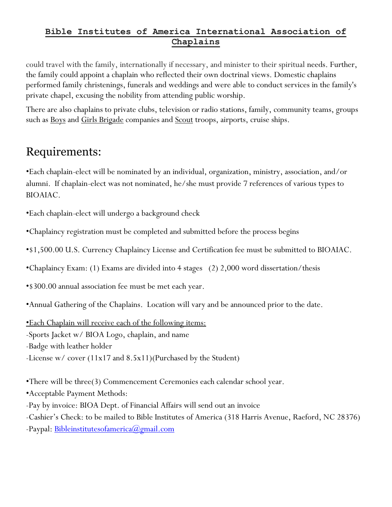could travel with the family, internationally if necessary, and minister to their spiritual needs. Further, the family could appoint a chaplain who reflected their own doctrinal views. Domestic chaplains performed family christenings, funerals and weddings and were able to conduct services in the family's private chapel, excusing the nobility from attending public worship.

There are also chaplains to private clubs, television or radio stations, family, community teams, groups such as <u>[Boys](https://en.wikipedia.org/wiki/Boys_Brigade)</u> and *[Girls Brigade](https://en.wikipedia.org/wiki/Girls_Brigade)* companies and <u>[Scout](https://en.wikipedia.org/wiki/Scouting)</u> troops, airports, cruise ships.

# Requirements:

•Each chaplain-elect will be nominated by an individual, organization, ministry, association, and/or alumni. If chaplain-elect was not nominated, he/she must provide 7 references of various types to BIOAIAC.

•Each chaplain-elect will undergo a background check

•Chaplaincy registration must be completed and submitted before the process begins

•\$1,500.00 U.S. Currency Chaplaincy License and Certification fee must be submitted to BIOAIAC.

•Chaplaincy Exam: (1) Exams are divided into 4 stages (2) 2,000 word dissertation/thesis

•\$300.00 annual association fee must be met each year.

•Annual Gathering of the Chaplains. Location will vary and be announced prior to the date.

•Each Chaplain will receive each of the following items:

-Sports Jacket w/ BIOA Logo, chaplain, and name

-Badge with leather holder

-License w/ cover (11x17 and 8.5x11)(Purchased by the Student)

•There will be three(3) Commencement Ceremonies each calendar school year.

•Acceptable Payment Methods:

-Pay by invoice: BIOA Dept. of Financial Affairs will send out an invoice

-Cashier's Check: to be mailed to Bible Institutes of America (318 Harris Avenue, Raeford, NC 28376)

-Paypal: [Bibleinstitutesofamerica@gmail.com](mailto:Bibleinstitutesofamerica@gmail.com)